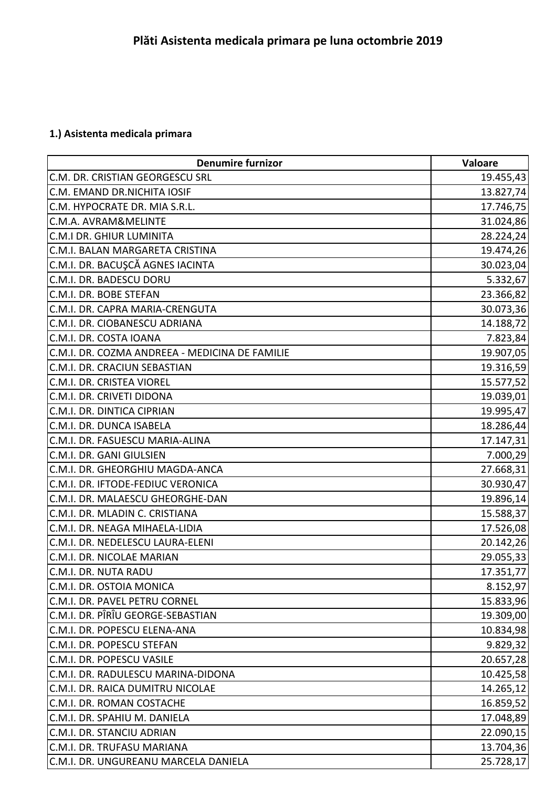## **1.) Asistenta medicala primara**

| <b>Denumire furnizor</b>                       | Valoare   |
|------------------------------------------------|-----------|
| C.M. DR. CRISTIAN GEORGESCU SRL                | 19.455,43 |
| C.M. EMAND DR.NICHITA IOSIF                    | 13.827,74 |
| C.M. HYPOCRATE DR. MIA S.R.L.                  | 17.746,75 |
| C.M.A. AVRAM&MELINTE                           | 31.024,86 |
| C.M.I DR. GHIUR LUMINITA                       | 28.224,24 |
| C.M.I. BALAN MARGARETA CRISTINA                | 19.474,26 |
| C.M.I. DR. BACUŞCĂ AGNES IACINTA               | 30.023,04 |
| C.M.I. DR. BADESCU DORU                        | 5.332,67  |
| C.M.I. DR. BOBE STEFAN                         | 23.366,82 |
| C.M.I. DR. CAPRA MARIA-CRENGUTA                | 30.073,36 |
| C.M.I. DR. CIOBANESCU ADRIANA                  | 14.188,72 |
| C.M.I. DR. COSTA IOANA                         | 7.823,84  |
| C.M.I. DR. COZMA ANDREEA - MEDICINA DE FAMILIE | 19.907,05 |
| C.M.I. DR. CRACIUN SEBASTIAN                   | 19.316,59 |
| C.M.I. DR. CRISTEA VIOREL                      | 15.577,52 |
| C.M.I. DR. CRIVETI DIDONA                      | 19.039,01 |
| C.M.I. DR. DINTICA CIPRIAN                     | 19.995,47 |
| C.M.I. DR. DUNCA ISABELA                       | 18.286,44 |
| C.M.I. DR. FASUESCU MARIA-ALINA                | 17.147,31 |
| C.M.I. DR. GANI GIULSIEN                       | 7.000,29  |
| C.M.I. DR. GHEORGHIU MAGDA-ANCA                | 27.668,31 |
| C.M.I. DR. IFTODE-FEDIUC VERONICA              | 30.930,47 |
| C.M.I. DR. MALAESCU GHEORGHE-DAN               | 19.896,14 |
| C.M.I. DR. MLADIN C. CRISTIANA                 | 15.588,37 |
| C.M.I. DR. NEAGA MIHAELA-LIDIA                 | 17.526,08 |
| C.M.I. DR. NEDELESCU LAURA-ELENI               | 20.142,26 |
| C.M.I. DR. NICOLAE MARIAN                      | 29.055,33 |
| C.M.I. DR. NUTA RADU                           | 17.351,77 |
| C.M.I. DR. OSTOIA MONICA                       | 8.152,97  |
| C.M.I. DR. PAVEL PETRU CORNEL                  | 15.833,96 |
| C.M.I. DR. PÎRÎU GEORGE-SEBASTIAN              | 19.309,00 |
| C.M.I. DR. POPESCU ELENA-ANA                   | 10.834,98 |
| C.M.I. DR. POPESCU STEFAN                      | 9.829, 32 |
| C.M.I. DR. POPESCU VASILE                      | 20.657,28 |
| C.M.I. DR. RADULESCU MARINA-DIDONA             | 10.425,58 |
| C.M.I. DR. RAICA DUMITRU NICOLAE               | 14.265,12 |
| C.M.I. DR. ROMAN COSTACHE                      | 16.859,52 |
| C.M.I. DR. SPAHIU M. DANIELA                   | 17.048,89 |
| C.M.I. DR. STANCIU ADRIAN                      | 22.090,15 |
| C.M.I. DR. TRUFASU MARIANA                     | 13.704,36 |
| C.M.I. DR. UNGUREANU MARCELA DANIELA           | 25.728,17 |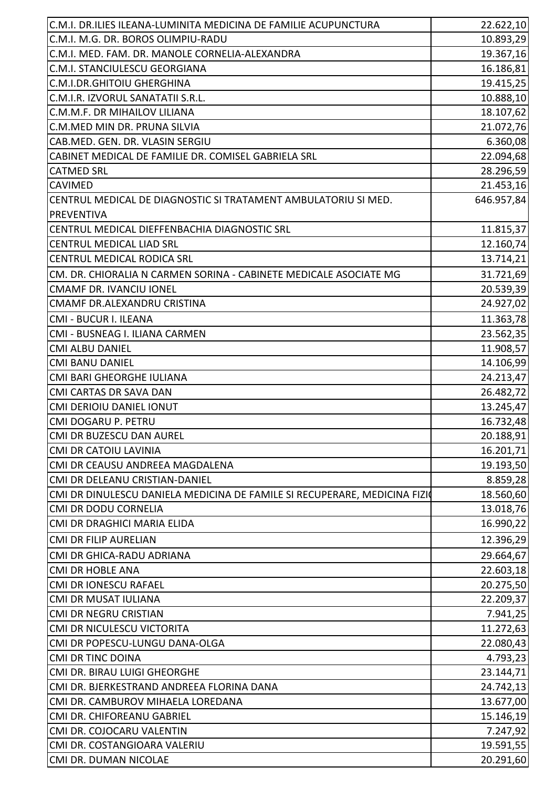| C.M.I. DR.ILIES ILEANA-LUMINITA MEDICINA DE FAMILIE ACUPUNCTURA           | 22.622,10  |
|---------------------------------------------------------------------------|------------|
| C.M.I. M.G. DR. BOROS OLIMPIU-RADU                                        | 10.893,29  |
| C.M.I. MED. FAM. DR. MANOLE CORNELIA-ALEXANDRA                            | 19.367,16  |
| C.M.I. STANCIULESCU GEORGIANA                                             | 16.186,81  |
| C.M.I.DR.GHITOIU GHERGHINA                                                | 19.415,25  |
| C.M.I.R. IZVORUL SANATATII S.R.L.                                         | 10.888,10  |
| C.M.M.F. DR MIHAILOV LILIANA                                              | 18.107,62  |
| C.M.MED MIN DR. PRUNA SILVIA                                              | 21.072,76  |
| CAB.MED. GEN. DR. VLASIN SERGIU                                           | 6.360,08   |
| CABINET MEDICAL DE FAMILIE DR. COMISEL GABRIELA SRL                       | 22.094,68  |
| <b>CATMED SRL</b>                                                         | 28.296,59  |
| <b>CAVIMED</b>                                                            | 21.453,16  |
| CENTRUL MEDICAL DE DIAGNOSTIC SI TRATAMENT AMBULATORIU SI MED.            | 646.957,84 |
| <b>PREVENTIVA</b>                                                         |            |
| CENTRUL MEDICAL DIEFFENBACHIA DIAGNOSTIC SRL                              | 11.815,37  |
| <b>CENTRUL MEDICAL LIAD SRL</b>                                           | 12.160,74  |
| <b>CENTRUL MEDICAL RODICA SRL</b>                                         | 13.714,21  |
| CM. DR. CHIORALIA N CARMEN SORINA - CABINETE MEDICALE ASOCIATE MG         | 31.721,69  |
| <b>CMAMF DR. IVANCIU IONEL</b>                                            | 20.539,39  |
| CMAMF DR.ALEXANDRU CRISTINA                                               | 24.927,02  |
| CMI - BUCUR I. ILEANA                                                     | 11.363,78  |
| CMI - BUSNEAG I. ILIANA CARMEN                                            | 23.562,35  |
| <b>CMI ALBU DANIEL</b>                                                    | 11.908,57  |
| <b>CMI BANU DANIEL</b>                                                    | 14.106,99  |
| CMI BARI GHEORGHE IULIANA                                                 | 24.213,47  |
| <b>CMI CARTAS DR SAVA DAN</b>                                             | 26.482,72  |
| <b>CMI DERIOIU DANIEL IONUT</b>                                           | 13.245,47  |
| CMI DOGARU P. PETRU                                                       |            |
| CMI DR BUZESCU DAN AUREL                                                  | 16.732,48  |
|                                                                           | 20.188,91  |
| <b>CMI DR CATOIU LAVINIA</b>                                              | 16.201,71  |
| CMI DR CEAUSU ANDREEA MAGDALENA                                           | 19.193,50  |
| CMI DR DELEANU CRISTIAN-DANIEL                                            | 8.859,28   |
| CMI DR DINULESCU DANIELA MEDICINA DE FAMILE SI RECUPERARE, MEDICINA FIZIO | 18.560,60  |
| CMI DR DODU CORNELIA                                                      | 13.018,76  |
| CMI DR DRAGHICI MARIA ELIDA                                               | 16.990,22  |
| <b>CMI DR FILIP AURELIAN</b>                                              | 12.396,29  |
| CMI DR GHICA-RADU ADRIANA                                                 | 29.664,67  |
| <b>CMI DR HOBLE ANA</b>                                                   | 22.603,18  |
| <b>CMI DR IONESCU RAFAEL</b>                                              | 20.275,50  |
| CMI DR MUSAT IULIANA                                                      | 22.209,37  |
| <b>CMI DR NEGRU CRISTIAN</b>                                              | 7.941,25   |
| CMI DR NICULESCU VICTORITA                                                | 11.272,63  |
| CMI DR POPESCU-LUNGU DANA-OLGA                                            | 22.080,43  |
| <b>CMI DR TINC DOINA</b>                                                  | 4.793,23   |
| CMI DR. BIRAU LUIGI GHEORGHE                                              | 23.144,71  |
| CMI DR. BJERKESTRAND ANDREEA FLORINA DANA                                 | 24.742,13  |
| CMI DR. CAMBUROV MIHAELA LOREDANA                                         | 13.677,00  |
| CMI DR. CHIFOREANU GABRIEL                                                | 15.146,19  |
| CMI DR. COJOCARU VALENTIN                                                 | 7.247,92   |
| CMI DR. COSTANGIOARA VALERIU                                              | 19.591,55  |
| CMI DR. DUMAN NICOLAE                                                     | 20.291,60  |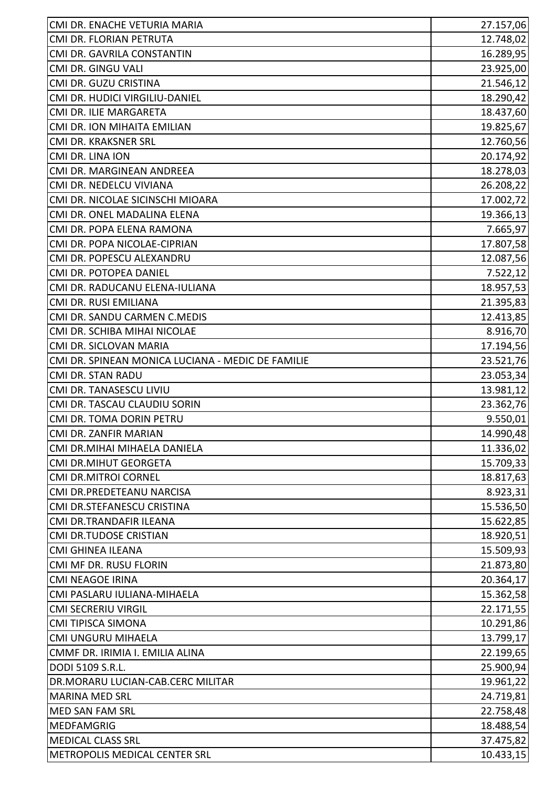| CMI DR. ENACHE VETURIA MARIA                      | 27.157,06 |
|---------------------------------------------------|-----------|
| CMI DR. FLORIAN PETRUTA                           | 12.748,02 |
| CMI DR. GAVRILA CONSTANTIN                        | 16.289,95 |
| CMI DR. GINGU VALI                                | 23.925,00 |
| CMI DR. GUZU CRISTINA                             | 21.546,12 |
| CMI DR. HUDICI VIRGILIU-DANIEL                    | 18.290,42 |
| CMI DR. ILIE MARGARETA                            | 18.437,60 |
| CMI DR. ION MIHAITA EMILIAN                       | 19.825,67 |
| CMI DR. KRAKSNER SRL                              | 12.760,56 |
| CMI DR. LINA ION                                  | 20.174,92 |
| CMI DR. MARGINEAN ANDREEA                         | 18.278,03 |
| CMI DR. NEDELCU VIVIANA                           | 26.208,22 |
| CMI DR. NICOLAE SICINSCHI MIOARA                  | 17.002,72 |
| CMI DR. ONEL MADALINA ELENA                       | 19.366,13 |
| CMI DR. POPA ELENA RAMONA                         | 7.665,97  |
| CMI DR. POPA NICOLAE-CIPRIAN                      | 17.807,58 |
| CMI DR. POPESCU ALEXANDRU                         | 12.087,56 |
| CMI DR. POTOPEA DANIEL                            | 7.522,12  |
| CMI DR. RADUCANU ELENA-IULIANA                    | 18.957,53 |
| CMI DR. RUSI EMILIANA                             | 21.395,83 |
| CMI DR. SANDU CARMEN C.MEDIS                      | 12.413,85 |
| CMI DR. SCHIBA MIHAI NICOLAE                      | 8.916,70  |
| CMI DR. SICLOVAN MARIA                            | 17.194,56 |
| CMI DR. SPINEAN MONICA LUCIANA - MEDIC DE FAMILIE | 23.521,76 |
| <b>CMI DR. STAN RADU</b>                          | 23.053,34 |
| CMI DR. TANASESCU LIVIU                           | 13.981,12 |
| CMI DR. TASCAU CLAUDIU SORIN                      | 23.362,76 |
| CMI DR. TOMA DORIN PETRU                          | 9.550,01  |
| CMI DR. ZANFIR MARIAN                             | 14.990,48 |
| CMI DR.MIHAI MIHAELA DANIELA                      | 11.336,02 |
| <b>CMI DR.MIHUT GEORGETA</b>                      | 15.709,33 |
| <b>CMI DR.MITROI CORNEL</b>                       | 18.817,63 |
| CMI DR.PREDETEANU NARCISA                         | 8.923,31  |
| CMI DR.STEFANESCU CRISTINA                        | 15.536,50 |
| CMI DR.TRANDAFIR ILEANA                           | 15.622,85 |
| <b>CMI DR.TUDOSE CRISTIAN</b>                     | 18.920,51 |
| <b>CMI GHINEA ILEANA</b>                          | 15.509,93 |
| CMI MF DR. RUSU FLORIN                            | 21.873,80 |
| <b>CMI NEAGOE IRINA</b>                           | 20.364,17 |
| CMI PASLARU IULIANA-MIHAELA                       | 15.362,58 |
| <b>CMI SECRERIU VIRGIL</b>                        | 22.171,55 |
| <b>CMI TIPISCA SIMONA</b>                         | 10.291,86 |
| CMI UNGURU MIHAELA                                | 13.799,17 |
| CMMF DR. IRIMIA I. EMILIA ALINA                   | 22.199,65 |
| DODI 5109 S.R.L.                                  | 25.900,94 |
| DR.MORARU LUCIAN-CAB.CERC MILITAR                 | 19.961,22 |
| <b>MARINA MED SRL</b>                             | 24.719,81 |
| <b>MED SAN FAM SRL</b>                            | 22.758,48 |
| <b>MEDFAMGRIG</b>                                 | 18.488,54 |
| <b>MEDICAL CLASS SRL</b>                          | 37.475,82 |
| METROPOLIS MEDICAL CENTER SRL                     | 10.433,15 |
|                                                   |           |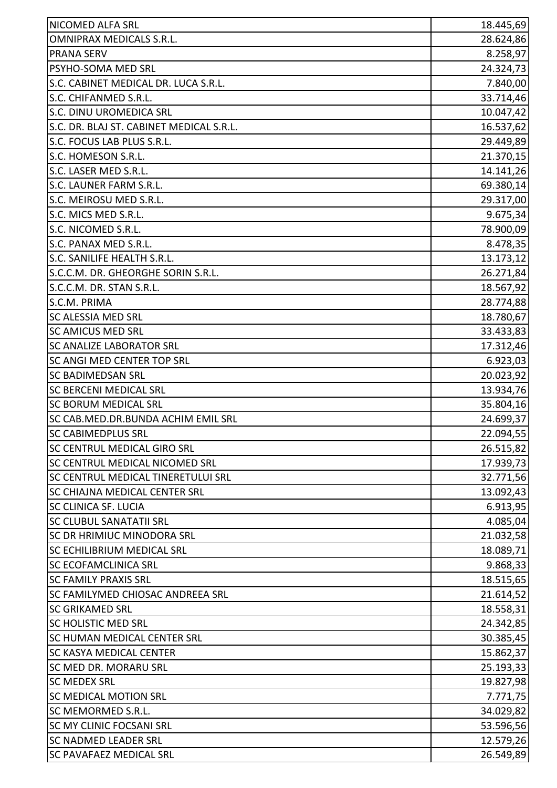| <b>OMNIPRAX MEDICALS S.R.L.</b><br><b>PRANA SERV</b><br>PSYHO-SOMA MED SRL<br>S.C. CABINET MEDICAL DR. LUCA S.R.L.<br>S.C. CHIFANMED S.R.L.<br>33.714,46<br>S.C. DINU UROMEDICA SRL<br>10.047,42<br>S.C. DR. BLAJ ST. CABINET MEDICAL S.R.L.<br>16.537,62<br>S.C. FOCUS LAB PLUS S.R.L.<br>29.449,89<br>21.370,15<br>S.C. HOMESON S.R.L.<br>S.C. LASER MED S.R.L.<br>14.141,26<br>S.C. LAUNER FARM S.R.L.<br>69.380,14<br>S.C. MEIROSU MED S.R.L.<br>29.317,00<br>S.C. MICS MED S.R.L.<br>9.675,34<br>S.C. NICOMED S.R.L.<br>78.900,09<br>S.C. PANAX MED S.R.L.<br>8.478,35<br>S.C. SANILIFE HEALTH S.R.L.<br>13.173,12<br>S.C.C.M. DR. GHEORGHE SORIN S.R.L.<br>26.271,84<br>S.C.C.M. DR. STAN S.R.L.<br>18.567,92<br>S.C.M. PRIMA<br>28.774,88<br><b>SC ALESSIA MED SRL</b><br>18.780,67<br><b>SC AMICUS MED SRL</b><br>33.433,83<br><b>SC ANALIZE LABORATOR SRL</b><br>17.312,46<br><b>SC ANGI MED CENTER TOP SRL</b><br>6.923,03<br>20.023,92<br><b>SC BADIMEDSAN SRL</b><br><b>SC BERCENI MEDICAL SRL</b><br>13.934,76<br><b>SC BORUM MEDICAL SRL</b><br>35.804,16<br>SC CAB.MED.DR.BUNDA ACHIM EMIL SRL<br>24.699,37<br>22.094,55<br>SC CABIMEDPLUS SRL<br><b>SC CENTRUL MEDICAL GIRO SRL</b><br>26.515,82<br>SC CENTRUL MEDICAL NICOMED SRL<br>17.939,73<br><b>SC CENTRUL MEDICAL TINERETULUI SRL</b><br>32.771,56<br><b>SC CHIAJNA MEDICAL CENTER SRL</b><br>13.092,43<br><b>SC CLINICA SF. LUCIA</b><br>6.913,95<br>4.085,04<br><b>SC CLUBUL SANATATII SRL</b><br>SC DR HRIMIUC MINODORA SRL<br>21.032,58<br><b>SC ECHILIBRIUM MEDICAL SRL</b><br>18.089,71<br>9.868,33<br>18.515,65<br>SC FAMILYMED CHIOSAC ANDREEA SRL<br>21.614,52<br><b>SC GRIKAMED SRL</b><br>18.558,31<br>24.342,85<br><b>SC HUMAN MEDICAL CENTER SRL</b><br>30.385,45<br><b>SC KASYA MEDICAL CENTER</b><br>15.862,37<br><b>SC MED DR. MORARU SRL</b><br>25.193,33<br><b>SC MEDEX SRL</b><br><b>SC MEDICAL MOTION SRL</b><br><b>SC NADMED LEADER SRL</b><br><b>SC PAVAFAEZ MEDICAL SRL</b> | <b>NICOMED ALFA SRL</b>         | 18.445,69 |
|---------------------------------------------------------------------------------------------------------------------------------------------------------------------------------------------------------------------------------------------------------------------------------------------------------------------------------------------------------------------------------------------------------------------------------------------------------------------------------------------------------------------------------------------------------------------------------------------------------------------------------------------------------------------------------------------------------------------------------------------------------------------------------------------------------------------------------------------------------------------------------------------------------------------------------------------------------------------------------------------------------------------------------------------------------------------------------------------------------------------------------------------------------------------------------------------------------------------------------------------------------------------------------------------------------------------------------------------------------------------------------------------------------------------------------------------------------------------------------------------------------------------------------------------------------------------------------------------------------------------------------------------------------------------------------------------------------------------------------------------------------------------------------------------------------------------------------------------------------------------------------------------------------------------------------------------------------------------------|---------------------------------|-----------|
|                                                                                                                                                                                                                                                                                                                                                                                                                                                                                                                                                                                                                                                                                                                                                                                                                                                                                                                                                                                                                                                                                                                                                                                                                                                                                                                                                                                                                                                                                                                                                                                                                                                                                                                                                                                                                                                                                                                                                                           |                                 | 28.624,86 |
|                                                                                                                                                                                                                                                                                                                                                                                                                                                                                                                                                                                                                                                                                                                                                                                                                                                                                                                                                                                                                                                                                                                                                                                                                                                                                                                                                                                                                                                                                                                                                                                                                                                                                                                                                                                                                                                                                                                                                                           |                                 | 8.258,97  |
|                                                                                                                                                                                                                                                                                                                                                                                                                                                                                                                                                                                                                                                                                                                                                                                                                                                                                                                                                                                                                                                                                                                                                                                                                                                                                                                                                                                                                                                                                                                                                                                                                                                                                                                                                                                                                                                                                                                                                                           |                                 | 24.324,73 |
|                                                                                                                                                                                                                                                                                                                                                                                                                                                                                                                                                                                                                                                                                                                                                                                                                                                                                                                                                                                                                                                                                                                                                                                                                                                                                                                                                                                                                                                                                                                                                                                                                                                                                                                                                                                                                                                                                                                                                                           |                                 | 7.840,00  |
|                                                                                                                                                                                                                                                                                                                                                                                                                                                                                                                                                                                                                                                                                                                                                                                                                                                                                                                                                                                                                                                                                                                                                                                                                                                                                                                                                                                                                                                                                                                                                                                                                                                                                                                                                                                                                                                                                                                                                                           |                                 |           |
|                                                                                                                                                                                                                                                                                                                                                                                                                                                                                                                                                                                                                                                                                                                                                                                                                                                                                                                                                                                                                                                                                                                                                                                                                                                                                                                                                                                                                                                                                                                                                                                                                                                                                                                                                                                                                                                                                                                                                                           |                                 |           |
|                                                                                                                                                                                                                                                                                                                                                                                                                                                                                                                                                                                                                                                                                                                                                                                                                                                                                                                                                                                                                                                                                                                                                                                                                                                                                                                                                                                                                                                                                                                                                                                                                                                                                                                                                                                                                                                                                                                                                                           |                                 |           |
|                                                                                                                                                                                                                                                                                                                                                                                                                                                                                                                                                                                                                                                                                                                                                                                                                                                                                                                                                                                                                                                                                                                                                                                                                                                                                                                                                                                                                                                                                                                                                                                                                                                                                                                                                                                                                                                                                                                                                                           |                                 |           |
|                                                                                                                                                                                                                                                                                                                                                                                                                                                                                                                                                                                                                                                                                                                                                                                                                                                                                                                                                                                                                                                                                                                                                                                                                                                                                                                                                                                                                                                                                                                                                                                                                                                                                                                                                                                                                                                                                                                                                                           |                                 |           |
|                                                                                                                                                                                                                                                                                                                                                                                                                                                                                                                                                                                                                                                                                                                                                                                                                                                                                                                                                                                                                                                                                                                                                                                                                                                                                                                                                                                                                                                                                                                                                                                                                                                                                                                                                                                                                                                                                                                                                                           |                                 |           |
|                                                                                                                                                                                                                                                                                                                                                                                                                                                                                                                                                                                                                                                                                                                                                                                                                                                                                                                                                                                                                                                                                                                                                                                                                                                                                                                                                                                                                                                                                                                                                                                                                                                                                                                                                                                                                                                                                                                                                                           |                                 |           |
|                                                                                                                                                                                                                                                                                                                                                                                                                                                                                                                                                                                                                                                                                                                                                                                                                                                                                                                                                                                                                                                                                                                                                                                                                                                                                                                                                                                                                                                                                                                                                                                                                                                                                                                                                                                                                                                                                                                                                                           |                                 |           |
|                                                                                                                                                                                                                                                                                                                                                                                                                                                                                                                                                                                                                                                                                                                                                                                                                                                                                                                                                                                                                                                                                                                                                                                                                                                                                                                                                                                                                                                                                                                                                                                                                                                                                                                                                                                                                                                                                                                                                                           |                                 |           |
|                                                                                                                                                                                                                                                                                                                                                                                                                                                                                                                                                                                                                                                                                                                                                                                                                                                                                                                                                                                                                                                                                                                                                                                                                                                                                                                                                                                                                                                                                                                                                                                                                                                                                                                                                                                                                                                                                                                                                                           |                                 |           |
|                                                                                                                                                                                                                                                                                                                                                                                                                                                                                                                                                                                                                                                                                                                                                                                                                                                                                                                                                                                                                                                                                                                                                                                                                                                                                                                                                                                                                                                                                                                                                                                                                                                                                                                                                                                                                                                                                                                                                                           |                                 |           |
|                                                                                                                                                                                                                                                                                                                                                                                                                                                                                                                                                                                                                                                                                                                                                                                                                                                                                                                                                                                                                                                                                                                                                                                                                                                                                                                                                                                                                                                                                                                                                                                                                                                                                                                                                                                                                                                                                                                                                                           |                                 |           |
|                                                                                                                                                                                                                                                                                                                                                                                                                                                                                                                                                                                                                                                                                                                                                                                                                                                                                                                                                                                                                                                                                                                                                                                                                                                                                                                                                                                                                                                                                                                                                                                                                                                                                                                                                                                                                                                                                                                                                                           |                                 |           |
|                                                                                                                                                                                                                                                                                                                                                                                                                                                                                                                                                                                                                                                                                                                                                                                                                                                                                                                                                                                                                                                                                                                                                                                                                                                                                                                                                                                                                                                                                                                                                                                                                                                                                                                                                                                                                                                                                                                                                                           |                                 |           |
|                                                                                                                                                                                                                                                                                                                                                                                                                                                                                                                                                                                                                                                                                                                                                                                                                                                                                                                                                                                                                                                                                                                                                                                                                                                                                                                                                                                                                                                                                                                                                                                                                                                                                                                                                                                                                                                                                                                                                                           |                                 |           |
|                                                                                                                                                                                                                                                                                                                                                                                                                                                                                                                                                                                                                                                                                                                                                                                                                                                                                                                                                                                                                                                                                                                                                                                                                                                                                                                                                                                                                                                                                                                                                                                                                                                                                                                                                                                                                                                                                                                                                                           |                                 |           |
|                                                                                                                                                                                                                                                                                                                                                                                                                                                                                                                                                                                                                                                                                                                                                                                                                                                                                                                                                                                                                                                                                                                                                                                                                                                                                                                                                                                                                                                                                                                                                                                                                                                                                                                                                                                                                                                                                                                                                                           |                                 |           |
|                                                                                                                                                                                                                                                                                                                                                                                                                                                                                                                                                                                                                                                                                                                                                                                                                                                                                                                                                                                                                                                                                                                                                                                                                                                                                                                                                                                                                                                                                                                                                                                                                                                                                                                                                                                                                                                                                                                                                                           |                                 |           |
|                                                                                                                                                                                                                                                                                                                                                                                                                                                                                                                                                                                                                                                                                                                                                                                                                                                                                                                                                                                                                                                                                                                                                                                                                                                                                                                                                                                                                                                                                                                                                                                                                                                                                                                                                                                                                                                                                                                                                                           |                                 |           |
|                                                                                                                                                                                                                                                                                                                                                                                                                                                                                                                                                                                                                                                                                                                                                                                                                                                                                                                                                                                                                                                                                                                                                                                                                                                                                                                                                                                                                                                                                                                                                                                                                                                                                                                                                                                                                                                                                                                                                                           |                                 |           |
|                                                                                                                                                                                                                                                                                                                                                                                                                                                                                                                                                                                                                                                                                                                                                                                                                                                                                                                                                                                                                                                                                                                                                                                                                                                                                                                                                                                                                                                                                                                                                                                                                                                                                                                                                                                                                                                                                                                                                                           |                                 |           |
|                                                                                                                                                                                                                                                                                                                                                                                                                                                                                                                                                                                                                                                                                                                                                                                                                                                                                                                                                                                                                                                                                                                                                                                                                                                                                                                                                                                                                                                                                                                                                                                                                                                                                                                                                                                                                                                                                                                                                                           |                                 |           |
|                                                                                                                                                                                                                                                                                                                                                                                                                                                                                                                                                                                                                                                                                                                                                                                                                                                                                                                                                                                                                                                                                                                                                                                                                                                                                                                                                                                                                                                                                                                                                                                                                                                                                                                                                                                                                                                                                                                                                                           |                                 |           |
|                                                                                                                                                                                                                                                                                                                                                                                                                                                                                                                                                                                                                                                                                                                                                                                                                                                                                                                                                                                                                                                                                                                                                                                                                                                                                                                                                                                                                                                                                                                                                                                                                                                                                                                                                                                                                                                                                                                                                                           |                                 |           |
|                                                                                                                                                                                                                                                                                                                                                                                                                                                                                                                                                                                                                                                                                                                                                                                                                                                                                                                                                                                                                                                                                                                                                                                                                                                                                                                                                                                                                                                                                                                                                                                                                                                                                                                                                                                                                                                                                                                                                                           |                                 |           |
|                                                                                                                                                                                                                                                                                                                                                                                                                                                                                                                                                                                                                                                                                                                                                                                                                                                                                                                                                                                                                                                                                                                                                                                                                                                                                                                                                                                                                                                                                                                                                                                                                                                                                                                                                                                                                                                                                                                                                                           |                                 |           |
|                                                                                                                                                                                                                                                                                                                                                                                                                                                                                                                                                                                                                                                                                                                                                                                                                                                                                                                                                                                                                                                                                                                                                                                                                                                                                                                                                                                                                                                                                                                                                                                                                                                                                                                                                                                                                                                                                                                                                                           |                                 |           |
|                                                                                                                                                                                                                                                                                                                                                                                                                                                                                                                                                                                                                                                                                                                                                                                                                                                                                                                                                                                                                                                                                                                                                                                                                                                                                                                                                                                                                                                                                                                                                                                                                                                                                                                                                                                                                                                                                                                                                                           |                                 |           |
|                                                                                                                                                                                                                                                                                                                                                                                                                                                                                                                                                                                                                                                                                                                                                                                                                                                                                                                                                                                                                                                                                                                                                                                                                                                                                                                                                                                                                                                                                                                                                                                                                                                                                                                                                                                                                                                                                                                                                                           |                                 |           |
|                                                                                                                                                                                                                                                                                                                                                                                                                                                                                                                                                                                                                                                                                                                                                                                                                                                                                                                                                                                                                                                                                                                                                                                                                                                                                                                                                                                                                                                                                                                                                                                                                                                                                                                                                                                                                                                                                                                                                                           |                                 |           |
|                                                                                                                                                                                                                                                                                                                                                                                                                                                                                                                                                                                                                                                                                                                                                                                                                                                                                                                                                                                                                                                                                                                                                                                                                                                                                                                                                                                                                                                                                                                                                                                                                                                                                                                                                                                                                                                                                                                                                                           |                                 |           |
|                                                                                                                                                                                                                                                                                                                                                                                                                                                                                                                                                                                                                                                                                                                                                                                                                                                                                                                                                                                                                                                                                                                                                                                                                                                                                                                                                                                                                                                                                                                                                                                                                                                                                                                                                                                                                                                                                                                                                                           |                                 |           |
|                                                                                                                                                                                                                                                                                                                                                                                                                                                                                                                                                                                                                                                                                                                                                                                                                                                                                                                                                                                                                                                                                                                                                                                                                                                                                                                                                                                                                                                                                                                                                                                                                                                                                                                                                                                                                                                                                                                                                                           | <b>SC ECOFAMCLINICA SRL</b>     |           |
|                                                                                                                                                                                                                                                                                                                                                                                                                                                                                                                                                                                                                                                                                                                                                                                                                                                                                                                                                                                                                                                                                                                                                                                                                                                                                                                                                                                                                                                                                                                                                                                                                                                                                                                                                                                                                                                                                                                                                                           | <b>SC FAMILY PRAXIS SRL</b>     |           |
|                                                                                                                                                                                                                                                                                                                                                                                                                                                                                                                                                                                                                                                                                                                                                                                                                                                                                                                                                                                                                                                                                                                                                                                                                                                                                                                                                                                                                                                                                                                                                                                                                                                                                                                                                                                                                                                                                                                                                                           |                                 |           |
|                                                                                                                                                                                                                                                                                                                                                                                                                                                                                                                                                                                                                                                                                                                                                                                                                                                                                                                                                                                                                                                                                                                                                                                                                                                                                                                                                                                                                                                                                                                                                                                                                                                                                                                                                                                                                                                                                                                                                                           |                                 |           |
|                                                                                                                                                                                                                                                                                                                                                                                                                                                                                                                                                                                                                                                                                                                                                                                                                                                                                                                                                                                                                                                                                                                                                                                                                                                                                                                                                                                                                                                                                                                                                                                                                                                                                                                                                                                                                                                                                                                                                                           | <b>SC HOLISTIC MED SRL</b>      |           |
|                                                                                                                                                                                                                                                                                                                                                                                                                                                                                                                                                                                                                                                                                                                                                                                                                                                                                                                                                                                                                                                                                                                                                                                                                                                                                                                                                                                                                                                                                                                                                                                                                                                                                                                                                                                                                                                                                                                                                                           |                                 |           |
|                                                                                                                                                                                                                                                                                                                                                                                                                                                                                                                                                                                                                                                                                                                                                                                                                                                                                                                                                                                                                                                                                                                                                                                                                                                                                                                                                                                                                                                                                                                                                                                                                                                                                                                                                                                                                                                                                                                                                                           |                                 |           |
|                                                                                                                                                                                                                                                                                                                                                                                                                                                                                                                                                                                                                                                                                                                                                                                                                                                                                                                                                                                                                                                                                                                                                                                                                                                                                                                                                                                                                                                                                                                                                                                                                                                                                                                                                                                                                                                                                                                                                                           |                                 |           |
|                                                                                                                                                                                                                                                                                                                                                                                                                                                                                                                                                                                                                                                                                                                                                                                                                                                                                                                                                                                                                                                                                                                                                                                                                                                                                                                                                                                                                                                                                                                                                                                                                                                                                                                                                                                                                                                                                                                                                                           |                                 | 19.827,98 |
|                                                                                                                                                                                                                                                                                                                                                                                                                                                                                                                                                                                                                                                                                                                                                                                                                                                                                                                                                                                                                                                                                                                                                                                                                                                                                                                                                                                                                                                                                                                                                                                                                                                                                                                                                                                                                                                                                                                                                                           |                                 | 7.771,75  |
|                                                                                                                                                                                                                                                                                                                                                                                                                                                                                                                                                                                                                                                                                                                                                                                                                                                                                                                                                                                                                                                                                                                                                                                                                                                                                                                                                                                                                                                                                                                                                                                                                                                                                                                                                                                                                                                                                                                                                                           | SC MEMORMED S.R.L.              | 34.029,82 |
|                                                                                                                                                                                                                                                                                                                                                                                                                                                                                                                                                                                                                                                                                                                                                                                                                                                                                                                                                                                                                                                                                                                                                                                                                                                                                                                                                                                                                                                                                                                                                                                                                                                                                                                                                                                                                                                                                                                                                                           | <b>SC MY CLINIC FOCSANI SRL</b> | 53.596,56 |
|                                                                                                                                                                                                                                                                                                                                                                                                                                                                                                                                                                                                                                                                                                                                                                                                                                                                                                                                                                                                                                                                                                                                                                                                                                                                                                                                                                                                                                                                                                                                                                                                                                                                                                                                                                                                                                                                                                                                                                           |                                 | 12.579,26 |
|                                                                                                                                                                                                                                                                                                                                                                                                                                                                                                                                                                                                                                                                                                                                                                                                                                                                                                                                                                                                                                                                                                                                                                                                                                                                                                                                                                                                                                                                                                                                                                                                                                                                                                                                                                                                                                                                                                                                                                           |                                 | 26.549,89 |